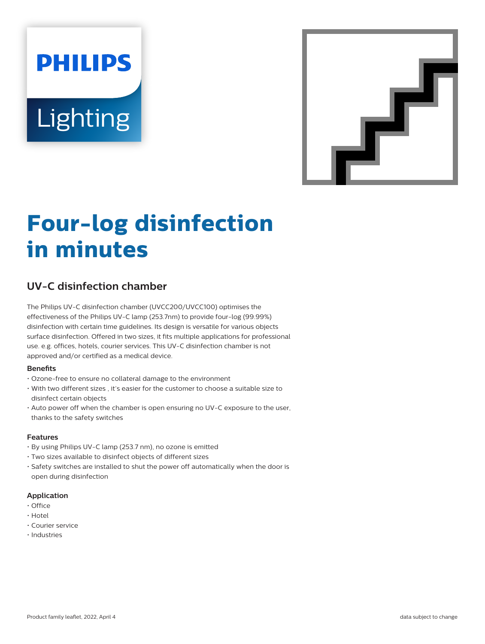# **PHILIPS Lighting**



# **Four-log disinfection in minutes**

# **UV-C disinfection chamber**

The Philips UV-C disinfection chamber (UVCC200/UVCC100) optimises the effectiveness of the Philips UV-C lamp (253.7nm) to provide four-log (99.99%) disinfection with certain time guidelines. Its design is versatile for various objects surface disinfection. Offered in two sizes, it fits multiple applications for professional use. e.g. offices, hotels, courier services. This UV-C disinfection chamber is not approved and/or certified as a medical device.

#### **Benefits**

- Ozone-free to ensure no collateral damage to the environment
- With two different sizes , it's easier for the customer to choose a suitable size to disinfect certain objects
- Auto power off when the chamber is open ensuring no UV-C exposure to the user, thanks to the safety switches

#### **Features**

- By using Philips UV-C lamp (253.7 nm), no ozone is emitted
- Two sizes available to disinfect objects of different sizes
- Safety switches are installed to shut the power off automatically when the door is open during disinfection

#### **Application**

- Office
- Hotel
- Courier service
- Industries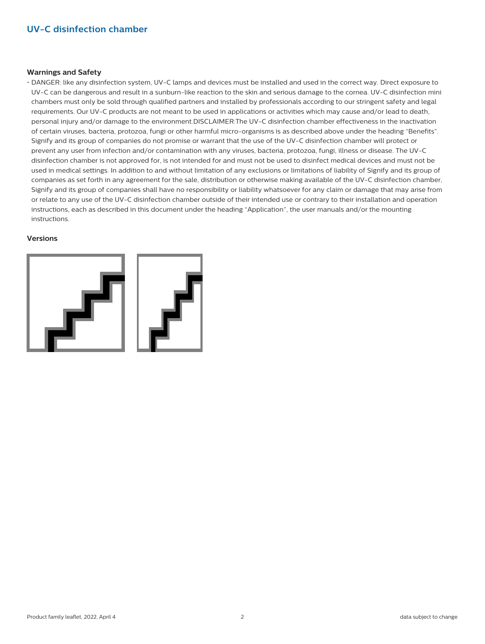## **UV-C disinfection chamber**

#### **Warnings and Safety**

• DANGER: like any disinfection system, UV-C lamps and devices must be installed and used in the correct way. Direct exposure to UV-C can be dangerous and result in a sunburn-like reaction to the skin and serious damage to the cornea. UV-C disinfection mini chambers must only be sold through qualified partners and installed by professionals according to our stringent safety and legal requirements. Our UV-C products are not meant to be used in applications or activities which may cause and/or lead to death, personal injury and/or damage to the environment.DISCLAIMER:The UV-C disinfection chamber effectiveness in the inactivation of certain viruses, bacteria, protozoa, fungi or other harmful micro-organisms is as described above under the heading "Benefits". Signify and its group of companies do not promise or warrant that the use of the UV-C disinfection chamber will protect or prevent any user from infection and/or contamination with any viruses, bacteria, protozoa, fungi, illness or disease. The UV-C disinfection chamber is not approved for, is not intended for and must not be used to disinfect medical devices and must not be used in medical settings. In addition to and without limitation of any exclusions or limitations of liability of Signify and its group of companies as set forth in any agreement for the sale, distribution or otherwise making available of the UV-C disinfection chamber, Signify and its group of companies shall have no responsibility or liability whatsoever for any claim or damage that may arise from or relate to any use of the UV-C disinfection chamber outside of their intended use or contrary to their installation and operation instructions, each as described in this document under the heading "Application", the user manuals and/or the mounting instructions.

#### **Versions**

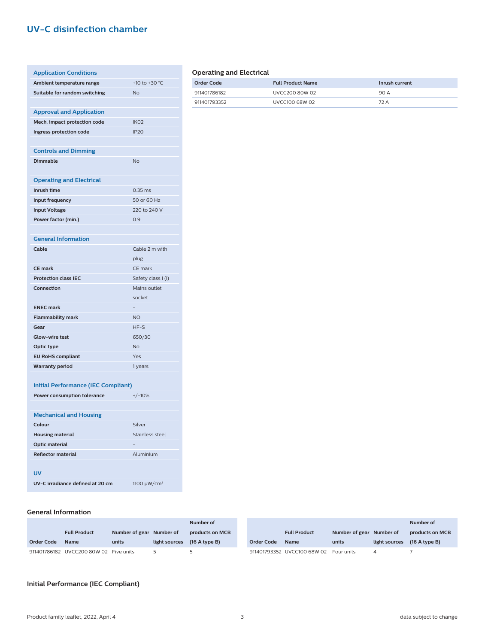# **UV-C disinfection chamber**

| <b>Application Conditions</b>              |                    |
|--------------------------------------------|--------------------|
| Ambient temperature range                  | +10 to +30 °C      |
| Suitable for random switching              | <b>No</b>          |
|                                            |                    |
| <b>Approval and Application</b>            |                    |
| Mech. impact protection code               | IK <sub>O</sub> 2  |
| Ingress protection code                    | <b>IP20</b>        |
|                                            |                    |
| <b>Controls and Dimming</b>                |                    |
| <b>Dimmable</b>                            | <b>No</b>          |
|                                            |                    |
| <b>Operating and Electrical</b>            |                    |
| Inrush time                                | $0.35$ ms          |
| Input frequency                            | 50 or 60 Hz        |
| <b>Input Voltage</b>                       | 220 to 240 V       |
| Power factor (min.)                        | 0.9                |
|                                            |                    |
| <b>General Information</b>                 |                    |
| Cable                                      | Cable 2 m with     |
|                                            | plug               |
| <b>CE mark</b>                             | CE mark            |
| <b>Protection class IEC</b>                | Safety class I (I) |
| Connection                                 | Mains outlet       |
|                                            | socket             |
| <b>ENEC mark</b>                           |                    |
| <b>Flammability mark</b>                   | <b>NO</b>          |
| Gear                                       | HF-S               |
| Glow-wire test                             | 650/30             |
| Optic type                                 | <b>No</b>          |
| <b>EU RoHS compliant</b>                   | Yes                |
| <b>Warranty period</b>                     | 1 years            |
|                                            |                    |
| <b>Initial Performance (IEC Compliant)</b> |                    |
| Power consumption tolerance                | $+/-10%$           |
|                                            |                    |
| <b>Mechanical and Housing</b>              |                    |
| Colour                                     | Silver             |
| <b>Housing material</b>                    | Stainless steel    |
| <b>Optic material</b>                      |                    |
| <b>Reflector material</b>                  | Aluminium          |
|                                            |                    |
| <b>UV</b>                                  |                    |

#### **Operating and Electrical**

| Order Code   | <b>Full Product Name</b> | Inrush current |
|--------------|--------------------------|----------------|
| 911401786182 | LIVEC200 80W 02          | 90 A           |
| 911401793352 | UVCC100 68W 02           | 72 A           |

#### **General Information**

|                   |                                        |                          |                             | Number of       |                   |                             |                          |               | Number of       |
|-------------------|----------------------------------------|--------------------------|-----------------------------|-----------------|-------------------|-----------------------------|--------------------------|---------------|-----------------|
|                   | <b>Full Product</b>                    | Number of gear Number of |                             | products on MCB |                   | <b>Full Product</b>         | Number of gear Number of |               | products on MCB |
| <b>Order Code</b> | <b>Name</b>                            | units                    | light sources (16 A type B) |                 | <b>Order Code</b> | <b>Name</b>                 | units                    | light sources | $(16$ A type B) |
|                   | 911401786182 UVCC200 80W 02 Five units |                          |                             |                 |                   | 911401793352 UVCC100 68W 02 | Four units               |               |                 |

#### **Initial Performance (IEC Compliant)**

UV-C irradiance defined at 20 cm 1100  $\mu$ W/cm<sup>2</sup>